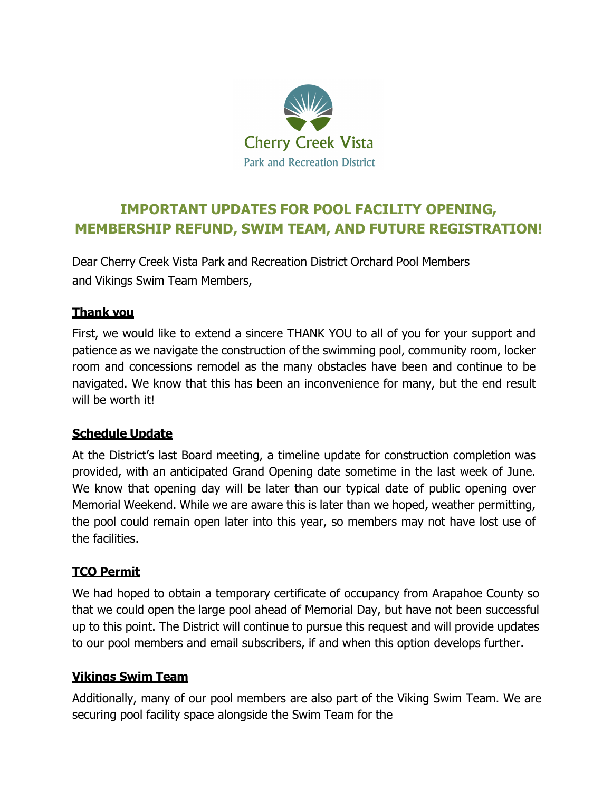

# **IMPORTANT UPDATES FOR POOL FACILITY OPENING, MEMBERSHIP REFUND, SWIM TEAM, AND FUTURE REGISTRATION!**

Dear Cherry Creek Vista Park and Recreation District Orchard Pool Members and Vikings Swim Team Members,

#### **Thank you**

First, we would like to extend a sincere THANK YOU to all of you for your support and patience as we navigate the construction of the swimming pool, community room, locker room and concessions remodel as the many obstacles have been and continue to be navigated. We know that this has been an inconvenience for many, but the end result will be worth it!

## **Schedule Update**

At the District's last Board meeting, a timeline update for construction completion was provided, with an anticipated Grand Opening date sometime in the last week of June. We know that opening day will be later than our typical date of public opening over Memorial Weekend. While we are aware this is later than we hoped, weather permitting, the pool could remain open later into this year, so members may not have lost use of the facilities.

## **TCO Permit**

We had hoped to obtain a temporary certificate of occupancy from Arapahoe County so that we could open the large pool ahead of Memorial Day, but have not been successful up to this point. The District will continue to pursue this request and will provide updates to our pool members and email subscribers, if and when this option develops further.

## **Vikings Swim Team**

Additionally, many of our pool members are also part of the Viking Swim Team. We are securing pool facility space alongside the Swim Team for the